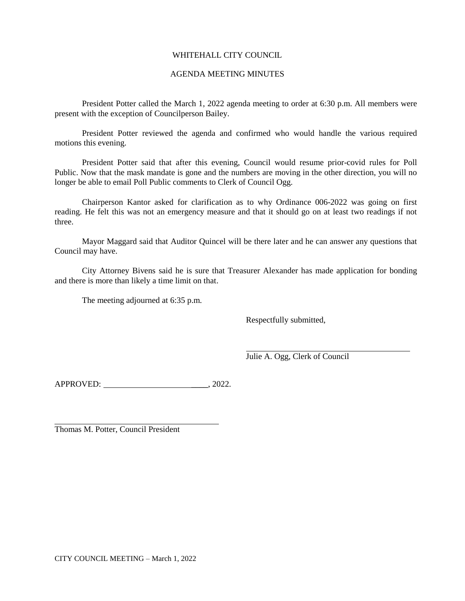# WHITEHALL CITY COUNCIL

# AGENDA MEETING MINUTES

President Potter called the March 1, 2022 agenda meeting to order at 6:30 p.m. All members were present with the exception of Councilperson Bailey.

President Potter reviewed the agenda and confirmed who would handle the various required motions this evening.

President Potter said that after this evening, Council would resume prior-covid rules for Poll Public. Now that the mask mandate is gone and the numbers are moving in the other direction, you will no longer be able to email Poll Public comments to Clerk of Council Ogg.

Chairperson Kantor asked for clarification as to why Ordinance 006-2022 was going on first reading. He felt this was not an emergency measure and that it should go on at least two readings if not three.

Mayor Maggard said that Auditor Quincel will be there later and he can answer any questions that Council may have.

City Attorney Bivens said he is sure that Treasurer Alexander has made application for bonding and there is more than likely a time limit on that.

The meeting adjourned at 6:35 p.m.

Respectfully submitted,

Julie A. Ogg, Clerk of Council

APPROVED: 2022.

Thomas M. Potter, Council President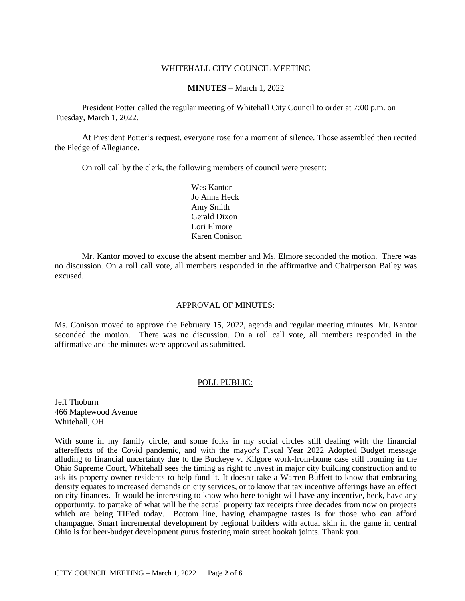## WHITEHALL CITY COUNCIL MEETING

## **MINUTES –** March 1, 2022

President Potter called the regular meeting of Whitehall City Council to order at 7:00 p.m. on Tuesday, March 1, 2022.

At President Potter's request, everyone rose for a moment of silence. Those assembled then recited the Pledge of Allegiance.

On roll call by the clerk, the following members of council were present:

Wes Kantor Jo Anna Heck Amy Smith Gerald Dixon Lori Elmore Karen Conison

Mr. Kantor moved to excuse the absent member and Ms. Elmore seconded the motion. There was no discussion. On a roll call vote, all members responded in the affirmative and Chairperson Bailey was excused.

## APPROVAL OF MINUTES:

Ms. Conison moved to approve the February 15, 2022, agenda and regular meeting minutes. Mr. Kantor seconded the motion. There was no discussion. On a roll call vote, all members responded in the affirmative and the minutes were approved as submitted.

## POLL PUBLIC:

Jeff Thoburn 466 Maplewood Avenue Whitehall, OH

With some in my family circle, and some folks in my social circles still dealing with the financial aftereffects of the Covid pandemic, and with the mayor's Fiscal Year 2022 Adopted Budget message alluding to financial uncertainty due to the Buckeye v. Kilgore work-from-home case still looming in the Ohio Supreme Court, Whitehall sees the timing as right to invest in major city building construction and to ask its property-owner residents to help fund it. It doesn't take a Warren Buffett to know that embracing density equates to increased demands on city services, or to know that tax incentive offerings have an effect on city finances. It would be interesting to know who here tonight will have any incentive, heck, have any opportunity, to partake of what will be the actual property tax receipts three decades from now on projects which are being TIF'ed today. Bottom line, having champagne tastes is for those who can afford champagne. Smart incremental development by regional builders with actual skin in the game in central Ohio is for beer-budget development gurus fostering main street hookah joints. Thank you.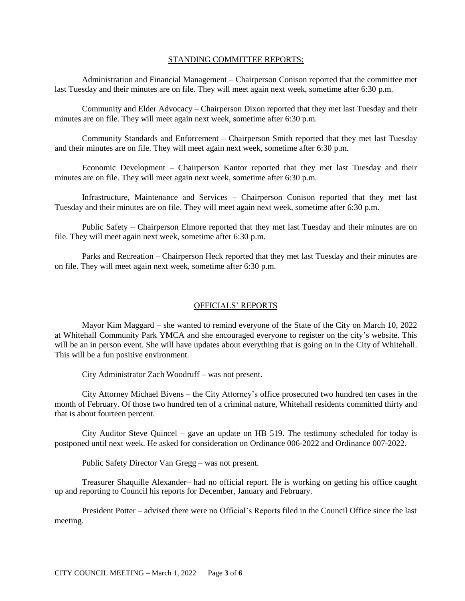## STANDING COMMITTEE REPORTS:

Administration and Financial Management – Chairperson Conison reported that the committee met last Tuesday and their minutes are on file. They will meet again next week, sometime after 6:30 p.m.

Community and Elder Advocacy – Chairperson Dixon reported that they met last Tuesday and their minutes are on file. They will meet again next week, sometime after 6:30 p.m.

Community Standards and Enforcement – Chairperson Smith reported that they met last Tuesday and their minutes are on file. They will meet again next week, sometime after 6:30 p.m.

Economic Development – Chairperson Kantor reported that they met last Tuesday and their minutes are on file. They will meet again next week, sometime after 6:30 p.m.

Infrastructure, Maintenance and Services – Chairperson Conison reported that they met last Tuesday and their minutes are on file. They will meet again next week, sometime after 6:30 p.m.

Public Safety – Chairperson Elmore reported that they met last Tuesday and their minutes are on file. They will meet again next week, sometime after 6:30 p.m.

Parks and Recreation – Chairperson Heck reported that they met last Tuesday and their minutes are on file. They will meet again next week, sometime after 6:30 p.m.

## OFFICIALS' REPORTS

Mayor Kim Maggard – she wanted to remind everyone of the State of the City on March 10, 2022 at Whitehall Community Park YMCA and she encouraged everyone to register on the city's website. This will be an in person event. She will have updates about everything that is going on in the City of Whitehall. This will be a fun positive environment.

City Administrator Zach Woodruff – was not present.

City Attorney Michael Bivens – the City Attorney's office prosecuted two hundred ten cases in the month of February. Of those two hundred ten of a criminal nature, Whitehall residents committed thirty and that is about fourteen percent.

City Auditor Steve Quincel – gave an update on HB 519. The testimony scheduled for today is postponed until next week. He asked for consideration on Ordinance 006-2022 and Ordinance 007-2022.

Public Safety Director Van Gregg – was not present.

Treasurer Shaquille Alexander– had no official report. He is working on getting his office caught up and reporting to Council his reports for December, January and February.

President Potter – advised there were no Official's Reports filed in the Council Office since the last meeting.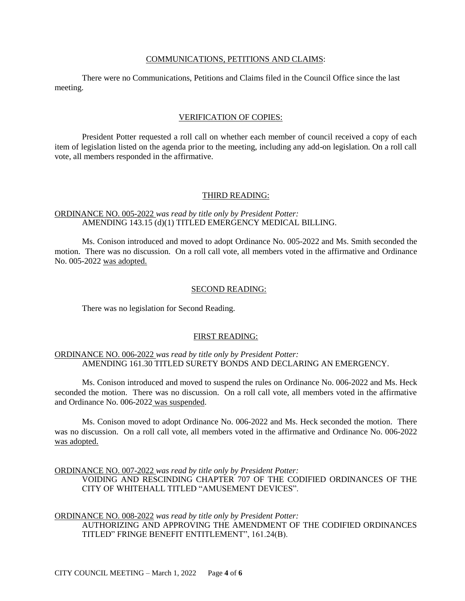### COMMUNICATIONS, PETITIONS AND CLAIMS:

There were no Communications, Petitions and Claims filed in the Council Office since the last meeting.

### VERIFICATION OF COPIES:

President Potter requested a roll call on whether each member of council received a copy of each item of legislation listed on the agenda prior to the meeting, including any add-on legislation. On a roll call vote, all members responded in the affirmative.

### THIRD READING:

## ORDINANCE NO. 005-2022 *was read by title only by President Potter:* AMENDING 143.15 (d)(1) TITLED EMERGENCY MEDICAL BILLING.

Ms. Conison introduced and moved to adopt Ordinance No. 005-2022 and Ms. Smith seconded the motion. There was no discussion. On a roll call vote, all members voted in the affirmative and Ordinance No. 005-2022 was adopted.

#### SECOND READING:

There was no legislation for Second Reading.

#### FIRST READING:

# ORDINANCE NO. 006-2022 *was read by title only by President Potter:* AMENDING 161.30 TITLED SURETY BONDS AND DECLARING AN EMERGENCY.

Ms. Conison introduced and moved to suspend the rules on Ordinance No. 006-2022 and Ms. Heck seconded the motion. There was no discussion. On a roll call vote, all members voted in the affirmative and Ordinance No. 006-2022 was suspended.

Ms. Conison moved to adopt Ordinance No. 006-2022 and Ms. Heck seconded the motion. There was no discussion. On a roll call vote, all members voted in the affirmative and Ordinance No. 006-2022 was adopted.

ORDINANCE NO. 007-2022 *was read by title only by President Potter:*

VOIDING AND RESCINDING CHAPTER 707 OF THE CODIFIED ORDINANCES OF THE CITY OF WHITEHALL TITLED "AMUSEMENT DEVICES".

ORDINANCE NO. 008-2022 *was read by title only by President Potter:*

AUTHORIZING AND APPROVING THE AMENDMENT OF THE CODIFIED ORDINANCES TITLED" FRINGE BENEFIT ENTITLEMENT", 161.24(B).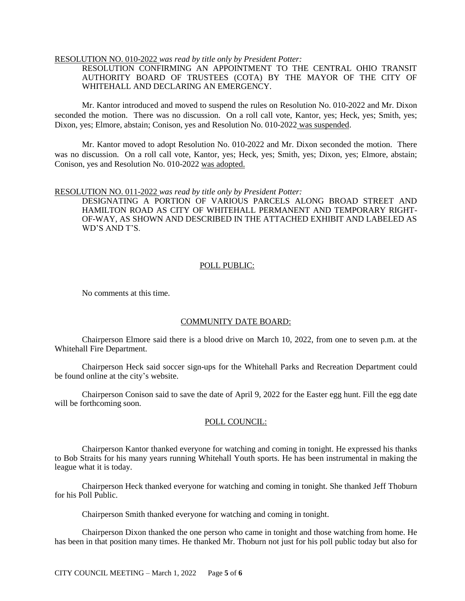## RESOLUTION NO. 010-2022 *was read by title only by President Potter:*

RESOLUTION CONFIRMING AN APPOINTMENT TO THE CENTRAL OHIO TRANSIT AUTHORITY BOARD OF TRUSTEES (COTA) BY THE MAYOR OF THE CITY OF WHITEHALL AND DECLARING AN EMERGENCY.

Mr. Kantor introduced and moved to suspend the rules on Resolution No. 010-2022 and Mr. Dixon seconded the motion. There was no discussion. On a roll call vote, Kantor, yes; Heck, yes; Smith, yes; Dixon, yes; Elmore, abstain; Conison, yes and Resolution No. 010-2022 was suspended.

Mr. Kantor moved to adopt Resolution No. 010-2022 and Mr. Dixon seconded the motion. There was no discussion. On a roll call vote, Kantor, yes; Heck, yes; Smith, yes; Dixon, yes; Elmore, abstain; Conison, yes and Resolution No. 010-2022 was adopted.

#### RESOLUTION NO. 011-2022 *was read by title only by President Potter:*

DESIGNATING A PORTION OF VARIOUS PARCELS ALONG BROAD STREET AND HAMILTON ROAD AS CITY OF WHITEHALL PERMANENT AND TEMPORARY RIGHT-OF-WAY, AS SHOWN AND DESCRIBED IN THE ATTACHED EXHIBIT AND LABELED AS WD'S AND T'S.

### POLL PUBLIC:

No comments at this time.

### COMMUNITY DATE BOARD:

Chairperson Elmore said there is a blood drive on March 10, 2022, from one to seven p.m. at the Whitehall Fire Department.

Chairperson Heck said soccer sign-ups for the Whitehall Parks and Recreation Department could be found online at the city's website.

Chairperson Conison said to save the date of April 9, 2022 for the Easter egg hunt. Fill the egg date will be forthcoming soon.

#### POLL COUNCIL:

Chairperson Kantor thanked everyone for watching and coming in tonight. He expressed his thanks to Bob Straits for his many years running Whitehall Youth sports. He has been instrumental in making the league what it is today.

Chairperson Heck thanked everyone for watching and coming in tonight. She thanked Jeff Thoburn for his Poll Public.

Chairperson Smith thanked everyone for watching and coming in tonight.

Chairperson Dixon thanked the one person who came in tonight and those watching from home. He has been in that position many times. He thanked Mr. Thoburn not just for his poll public today but also for